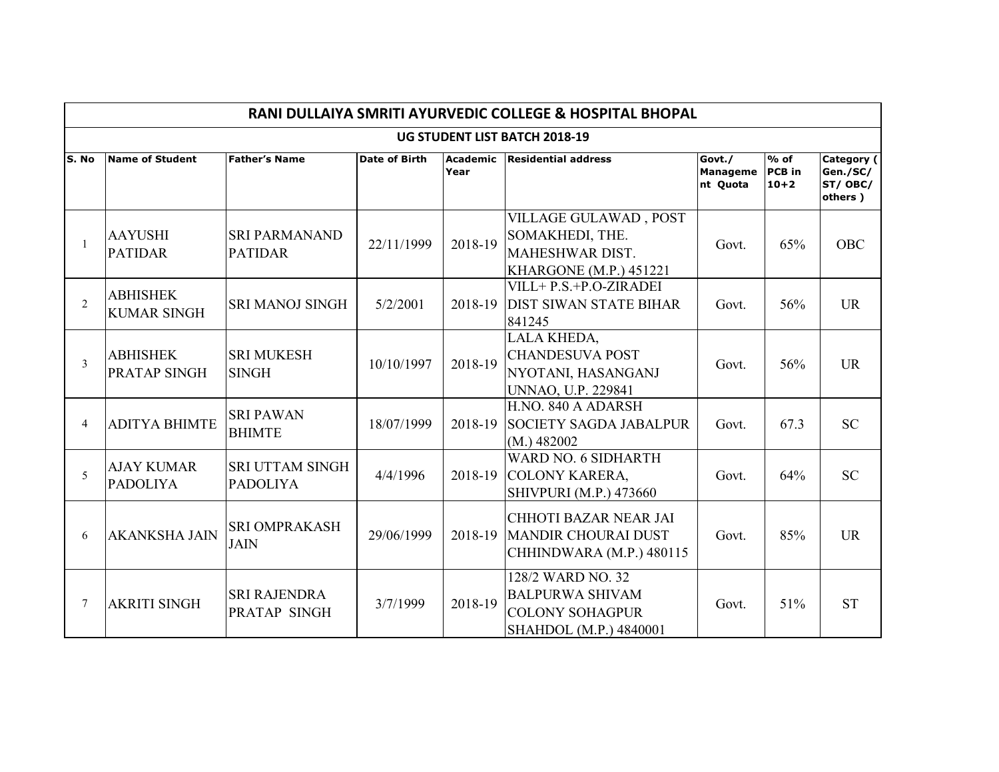|                | RANI DULLAIYA SMRITI AYURVEDIC COLLEGE & HOSPITAL BHOPAL |                                           |                      |                         |                                                                                                     |                                       |                                   |                                               |  |  |  |  |
|----------------|----------------------------------------------------------|-------------------------------------------|----------------------|-------------------------|-----------------------------------------------------------------------------------------------------|---------------------------------------|-----------------------------------|-----------------------------------------------|--|--|--|--|
|                |                                                          |                                           |                      |                         | UG STUDENT LIST BATCH 2018-19                                                                       |                                       |                                   |                                               |  |  |  |  |
| S. No          | <b>Name of Student</b>                                   | <b>Father's Name</b>                      | <b>Date of Birth</b> | <b>Academic</b><br>Year | <b>Residential address</b>                                                                          | Govt./<br><b>Manageme</b><br>nt Quota | $%$ of<br><b>PCB</b> in<br>$10+2$ | Category (<br>Gen./SC/<br>ST/ OBC/<br>others) |  |  |  |  |
| $\mathbf{1}$   | <b>AAYUSHI</b><br><b>PATIDAR</b>                         | <b>SRI PARMANAND</b><br><b>PATIDAR</b>    | 22/11/1999           | 2018-19                 | VILLAGE GULAWAD, POST<br>SOMAKHEDI, THE.<br><b>MAHESHWAR DIST.</b><br><b>KHARGONE</b> (M.P.) 451221 | Govt.                                 | 65%                               | <b>OBC</b>                                    |  |  |  |  |
| $\overline{2}$ | <b>ABHISHEK</b><br><b>KUMAR SINGH</b>                    | <b>SRI MANOJ SINGH</b>                    | 5/2/2001             | 2018-19                 | VILL+ P.S.+P.O-ZIRADEI<br><b>DIST SIWAN STATE BIHAR</b><br>841245                                   | Govt.                                 | 56%                               | <b>UR</b>                                     |  |  |  |  |
| 3              | <b>ABHISHEK</b><br><b>PRATAP SINGH</b>                   | <b>SRI MUKESH</b><br><b>SINGH</b>         | 10/10/1997           | 2018-19                 | LALA KHEDA,<br><b>CHANDESUVA POST</b><br>NYOTANI, HASANGANJ<br>UNNAO, U.P. 229841                   | Govt.                                 | 56%                               | <b>UR</b>                                     |  |  |  |  |
| $\overline{4}$ | <b>ADITYA BHIMTE</b>                                     | <b>SRI PAWAN</b><br><b>BHIMTE</b>         | 18/07/1999           | 2018-19                 | H.NO. 840 A ADARSH<br><b>SOCIETY SAGDA JABALPUR</b><br>(M.) 482002                                  | Govt.                                 | 67.3                              | <b>SC</b>                                     |  |  |  |  |
| 5              | <b>AJAY KUMAR</b><br><b>PADOLIYA</b>                     | <b>SRI UTTAM SINGH</b><br><b>PADOLIYA</b> | 4/4/1996             | 2018-19                 | WARD NO. 6 SIDHARTH<br><b>COLONY KARERA,</b><br><b>SHIVPURI (M.P.) 473660</b>                       | Govt.                                 | 64%                               | <b>SC</b>                                     |  |  |  |  |
| 6              | <b>AKANKSHA JAIN</b>                                     | <b>SRI OMPRAKASH</b><br><b>JAIN</b>       | 29/06/1999           | 2018-19                 | CHHOTI BAZAR NEAR JAI<br><b>MANDIR CHOURAI DUST</b><br>CHHINDWARA (M.P.) 480115                     | Govt.                                 | 85%                               | <b>UR</b>                                     |  |  |  |  |
| 7              | <b>AKRITI SINGH</b>                                      | <b>SRI RAJENDRA</b><br>PRATAP SINGH       | 3/7/1999             | 2018-19                 | 128/2 WARD NO. 32<br><b>BALPURWA SHIVAM</b><br><b>COLONY SOHAGPUR</b><br>SHAHDOL (M.P.) 4840001     | Govt.                                 | 51%                               | <b>ST</b>                                     |  |  |  |  |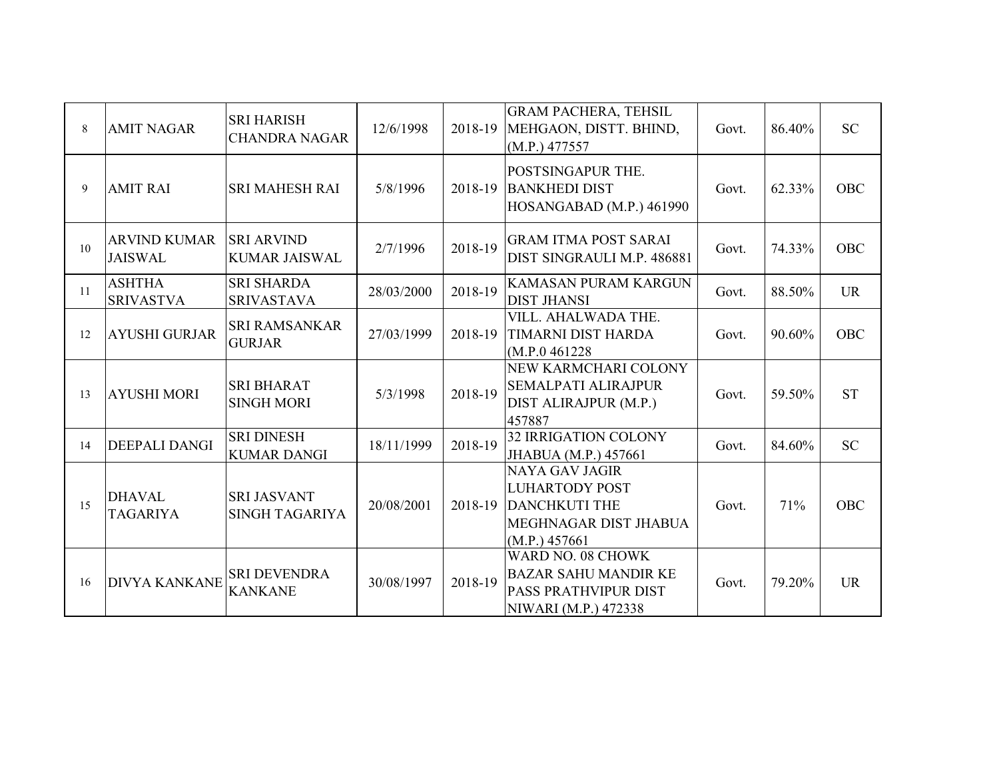| 8  | <b>AMIT NAGAR</b>                     | <b>SRI HARISH</b><br><b>CHANDRA NAGAR</b>   | 12/6/1998  |         | <b>GRAM PACHERA, TEHSIL</b><br>2018-19 MEHGAON, DISTT. BHIND,<br>(M.P.) 477557                                    | Govt. | 86.40% | <b>SC</b>  |
|----|---------------------------------------|---------------------------------------------|------------|---------|-------------------------------------------------------------------------------------------------------------------|-------|--------|------------|
| 9  | <b>AMIT RAI</b>                       | <b>SRI MAHESH RAI</b>                       | 5/8/1996   |         | POSTSINGAPUR THE.<br>2018-19 BANKHEDI DIST<br>HOSANGABAD (M.P.) 461990                                            | Govt. | 62.33% | <b>OBC</b> |
| 10 | <b>ARVIND KUMAR</b><br><b>JAISWAL</b> | <b>SRI ARVIND</b><br><b>KUMAR JAISWAL</b>   | 2/7/1996   | 2018-19 | <b>GRAM ITMA POST SARAI</b><br>DIST SINGRAULI M.P. 486881                                                         | Govt. | 74.33% | <b>OBC</b> |
| 11 | <b>ASHTHA</b><br><b>SRIVASTVA</b>     | <b>SRI SHARDA</b><br><b>SRIVASTAVA</b>      | 28/03/2000 | 2018-19 | <b>KAMASAN PURAM KARGUN</b><br><b>DIST JHANSI</b>                                                                 | Govt. | 88.50% | <b>UR</b>  |
| 12 | <b>AYUSHI GURJAR</b>                  | <b>SRI RAMSANKAR</b><br><b>GURJAR</b>       | 27/03/1999 |         | VILL. AHALWADA THE.<br>2018-19 TIMARNI DIST HARDA<br>(M.P.0 461228)                                               | Govt. | 90.60% | OBC        |
| 13 | <b>AYUSHI MORI</b>                    | <b>SRI BHARAT</b><br><b>SINGH MORI</b>      | 5/3/1998   | 2018-19 | NEW KARMCHARI COLONY<br><b>SEMALPATI ALIRAJPUR</b><br>DIST ALIRAJPUR (M.P.)<br>457887                             | Govt. | 59.50% | <b>ST</b>  |
| 14 | <b>DEEPALI DANGI</b>                  | <b>SRI DINESH</b><br><b>KUMAR DANGI</b>     | 18/11/1999 | 2018-19 | 32 IRRIGATION COLONY<br>JHABUA (M.P.) 457661                                                                      | Govt. | 84.60% | <b>SC</b>  |
| 15 | <b>DHAVAL</b><br><b>TAGARIYA</b>      | <b>SRI JASVANT</b><br><b>SINGH TAGARIYA</b> | 20/08/2001 |         | <b>NAYA GAV JAGIR</b><br><b>LUHARTODY POST</b><br>2018-19 DANCHKUTI THE<br>MEGHNAGAR DIST JHABUA<br>(M.P.) 457661 | Govt. | 71%    | <b>OBC</b> |
| 16 | <b>DIVYA KANKANE</b>                  | <b>SRI DEVENDRA</b><br><b>KANKANE</b>       | 30/08/1997 | 2018-19 | WARD NO. 08 CHOWK<br><b>BAZAR SAHU MANDIR KE</b><br><b>PASS PRATHVIPUR DIST</b><br>NIWARI (M.P.) 472338           | Govt. | 79.20% | <b>UR</b>  |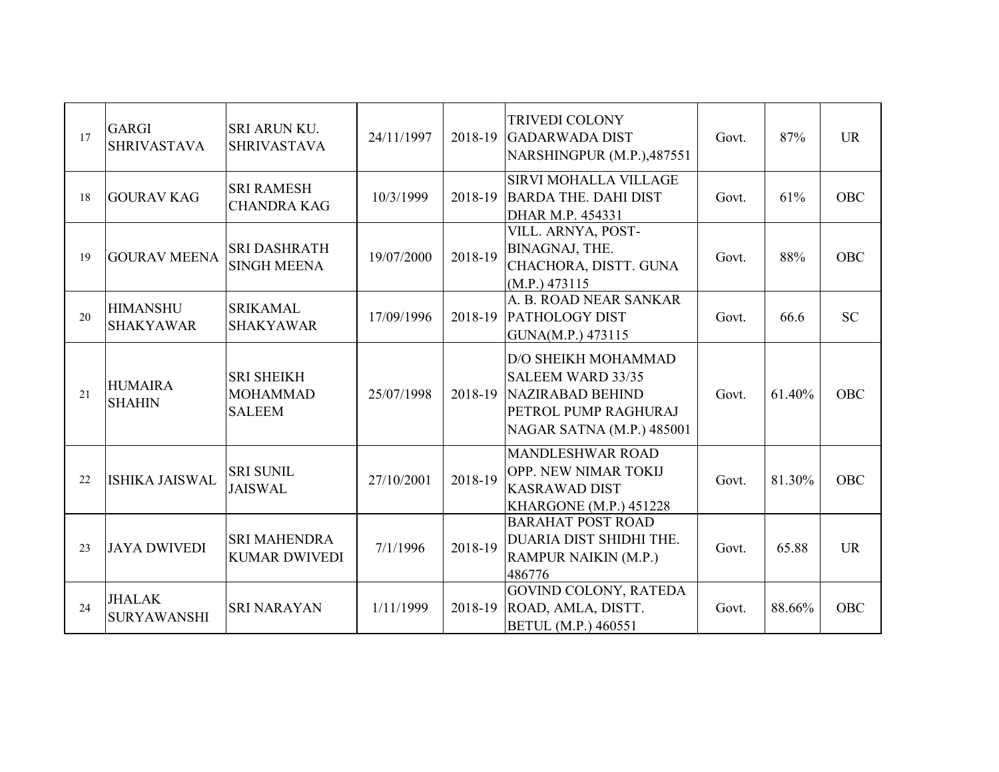| 17 | <b>GARGI</b><br><b>SHRIVASTAVA</b>  | <b>SRI ARUN KU.</b><br><b>SHRIVASTAVA</b>             | 24/11/1997 | 2018-19 | <b>TRIVEDI COLONY</b><br><b>GADARWADA DIST</b><br>NARSHINGPUR (M.P.),487551                                                     | Govt. | 87%    | <b>UR</b>  |
|----|-------------------------------------|-------------------------------------------------------|------------|---------|---------------------------------------------------------------------------------------------------------------------------------|-------|--------|------------|
| 18 | <b>GOURAV KAG</b>                   | <b>SRI RAMESH</b><br><b>CHANDRA KAG</b>               | 10/3/1999  | 2018-19 | <b>SIRVI MOHALLA VILLAGE</b><br><b>BARDA THE. DAHI DIST</b><br>DHAR M.P. 454331                                                 | Govt. | 61%    | <b>OBC</b> |
| 19 | <b>GOURAV MEENA</b>                 | <b>SRI DASHRATH</b><br><b>SINGH MEENA</b>             | 19/07/2000 | 2018-19 | VILL. ARNYA, POST-<br>BINAGNAJ, THE.<br>CHACHORA, DISTT. GUNA<br>(M.P.) 473115                                                  | Govt. | 88%    | <b>OBC</b> |
| 20 | <b>HIMANSHU</b><br><b>SHAKYAWAR</b> | <b>SRIKAMAL</b><br><b>SHAKYAWAR</b>                   | 17/09/1996 | 2018-19 | A. B. ROAD NEAR SANKAR<br><b>PATHOLOGY DIST</b><br>GUNA(M.P.) 473115                                                            | Govt. | 66.6   | <b>SC</b>  |
| 21 | <b>HUMAIRA</b><br><b>SHAHIN</b>     | <b>SRI SHEIKH</b><br><b>MOHAMMAD</b><br><b>SALEEM</b> | 25/07/1998 | 2018-19 | D/O SHEIKH MOHAMMAD<br><b>SALEEM WARD 33/35</b><br><b>NAZIRABAD BEHIND</b><br>PETROL PUMP RAGHURAJ<br>NAGAR SATNA (M.P.) 485001 | Govt. | 61.40% | <b>OBC</b> |
| 22 | <b>ISHIKA JAISWAL</b>               | <b>SRI SUNIL</b><br><b>JAISWAL</b>                    | 27/10/2001 | 2018-19 | <b>MANDLESHWAR ROAD</b><br>OPP. NEW NIMAR TOKIJ<br><b>KASRAWAD DIST</b><br><b>KHARGONE (M.P.) 451228</b>                        | Govt. | 81.30% | <b>OBC</b> |
| 23 | <b>JAYA DWIVEDI</b>                 | <b>SRI MAHENDRA</b><br><b>KUMAR DWIVEDI</b>           | 7/1/1996   | 2018-19 | <b>BARAHAT POST ROAD</b><br>DUARIA DIST SHIDHI THE.<br>RAMPUR NAIKIN (M.P.)<br>486776                                           | Govt. | 65.88  | <b>UR</b>  |
| 24 | <b>JHALAK</b><br><b>SURYAWANSHI</b> | <b>SRI NARAYAN</b>                                    | 1/11/1999  | 2018-19 | <b>GOVIND COLONY, RATEDA</b><br>ROAD, AMLA, DISTT.<br><b>BETUL</b> (M.P.) 460551                                                | Govt. | 88.66% | <b>OBC</b> |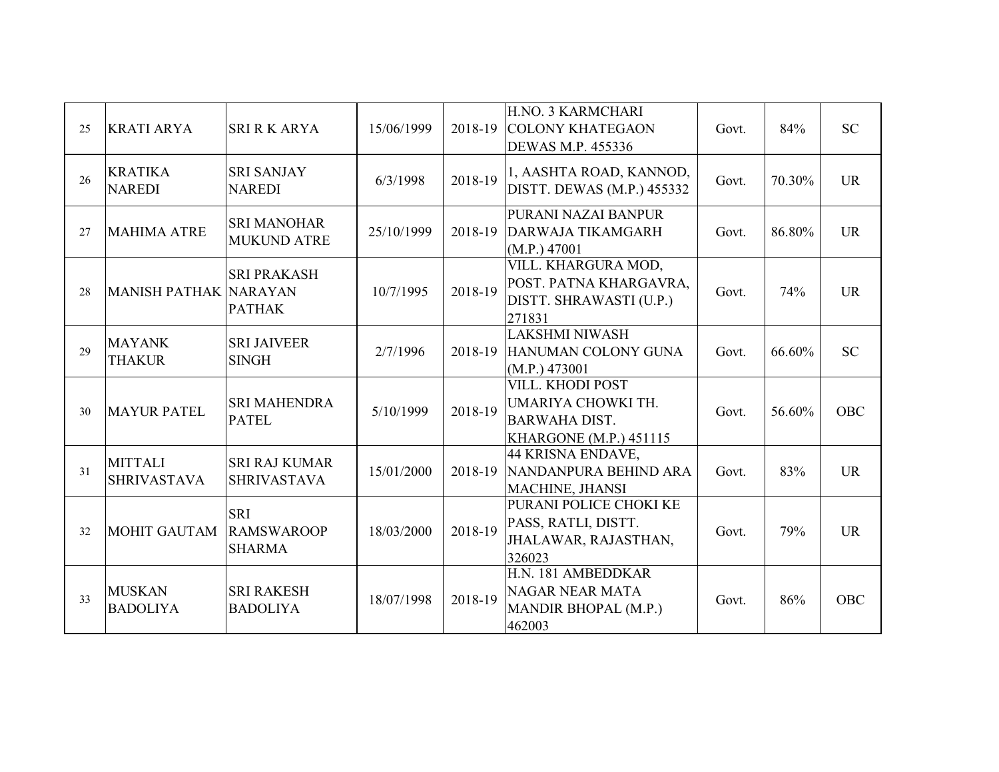| 25 | <b>KRATI ARYA</b>                    | <b>SRI R K ARYA</b>                              | 15/06/1999 | 2018-19 | H.NO. 3 KARMCHARI<br><b>COLONY KHATEGAON</b><br>DEWAS M.P. 455336                        | Govt. | 84%    | <b>SC</b>  |
|----|--------------------------------------|--------------------------------------------------|------------|---------|------------------------------------------------------------------------------------------|-------|--------|------------|
| 26 | <b>KRATIKA</b><br><b>NAREDI</b>      | <b>SRI SANJAY</b><br><b>NAREDI</b>               | 6/3/1998   | 2018-19 | 1, AASHTA ROAD, KANNOD,<br>DISTT. DEWAS (M.P.) 455332                                    | Govt. | 70.30% | <b>UR</b>  |
| 27 | <b>MAHIMA ATRE</b>                   | <b>SRI MANOHAR</b><br><b>MUKUND ATRE</b>         | 25/10/1999 | 2018-19 | PURANI NAZAI BANPUR<br>DARWAJA TIKAMGARH<br>(M.P.) 47001                                 | Govt. | 86.80% | <b>UR</b>  |
| 28 | <b>MANISH PATHAK NARAYAN</b>         | <b>SRI PRAKASH</b><br><b>PATHAK</b>              | 10/7/1995  | 2018-19 | VILL. KHARGURA MOD,<br>POST. PATNA KHARGAVRA,<br>DISTT. SHRAWASTI (U.P.)<br>271831       | Govt. | 74%    | <b>UR</b>  |
| 29 | <b>MAYANK</b><br><b>THAKUR</b>       | <b>SRI JAIVEER</b><br><b>SINGH</b>               | 2/7/1996   | 2018-19 | <b>LAKSHMI NIWASH</b><br>HANUMAN COLONY GUNA<br>(M.P.) 473001                            | Govt. | 66.60% | <b>SC</b>  |
| 30 | <b>MAYUR PATEL</b>                   | <b>SRI MAHENDRA</b><br><b>PATEL</b>              | 5/10/1999  | 2018-19 | VILL. KHODI POST<br>UMARIYA CHOWKI TH.<br><b>BARWAHA DIST.</b><br>KHARGONE (M.P.) 451115 | Govt. | 56.60% | <b>OBC</b> |
| 31 | <b>MITTALI</b><br><b>SHRIVASTAVA</b> | <b>SRI RAJ KUMAR</b><br><b>SHRIVASTAVA</b>       | 15/01/2000 | 2018-19 | 44 KRISNA ENDAVE,<br>NANDANPURA BEHIND ARA<br>MACHINE, JHANSI                            | Govt. | 83%    | <b>UR</b>  |
| 32 | <b>MOHIT GAUTAM</b>                  | <b>SRI</b><br><b>RAMSWAROOP</b><br><b>SHARMA</b> | 18/03/2000 | 2018-19 | PURANI POLICE CHOKI KE<br>PASS, RATLI, DISTT.<br>JHALAWAR, RAJASTHAN,<br>326023          | Govt. | 79%    | <b>UR</b>  |
| 33 | <b>MUSKAN</b><br><b>BADOLIYA</b>     | <b>SRI RAKESH</b><br><b>BADOLIYA</b>             | 18/07/1998 | 2018-19 | H.N. 181 AMBEDDKAR<br>NAGAR NEAR MATA<br><b>MANDIR BHOPAL (M.P.)</b><br>462003           | Govt. | 86%    | <b>OBC</b> |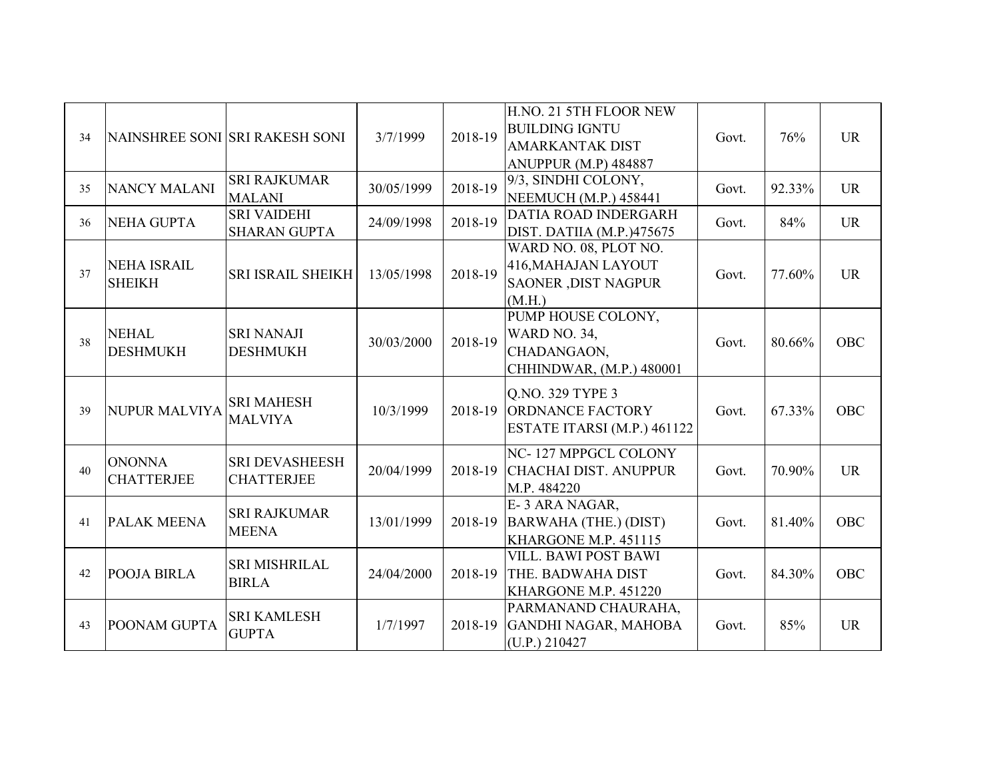| 34 |                                     | NAINSHREE SONI SRI RAKESH SONI             | 3/7/1999   | 2018-19 | H.NO. 21 5TH FLOOR NEW<br><b>BUILDING IGNTU</b><br><b>AMARKANTAK DIST</b><br><b>ANUPPUR (M.P) 484887</b> | Govt. | 76%    | <b>UR</b>  |
|----|-------------------------------------|--------------------------------------------|------------|---------|----------------------------------------------------------------------------------------------------------|-------|--------|------------|
| 35 | <b>NANCY MALANI</b>                 | <b>SRI RAJKUMAR</b><br><b>MALANI</b>       | 30/05/1999 | 2018-19 | 9/3, SINDHI COLONY,<br>NEEMUCH (M.P.) 458441                                                             | Govt. | 92.33% | <b>UR</b>  |
| 36 | <b>NEHA GUPTA</b>                   | <b>SRI VAIDEHI</b><br><b>SHARAN GUPTA</b>  | 24/09/1998 | 2018-19 | DATIA ROAD INDERGARH<br>DIST. DATIIA (M.P.)475675                                                        | Govt. | 84%    | <b>UR</b>  |
| 37 | <b>NEHA ISRAIL</b><br><b>SHEIKH</b> | <b>SRI ISRAIL SHEIKH</b>                   | 13/05/1998 | 2018-19 | WARD NO. 08, PLOT NO.<br>416, MAHAJAN LAYOUT<br><b>SAONER , DIST NAGPUR</b><br>(M.H.)                    | Govt. | 77.60% | <b>UR</b>  |
| 38 | <b>NEHAL</b><br><b>DESHMUKH</b>     | <b>SRI NANAJI</b><br><b>DESHMUKH</b>       | 30/03/2000 | 2018-19 | PUMP HOUSE COLONY,<br>WARD NO. 34,<br>CHADANGAON,<br>CHHINDWAR, (M.P.) 480001                            | Govt. | 80.66% | <b>OBC</b> |
| 39 | <b>NUPUR MALVIYA</b>                | <b>SRI MAHESH</b><br><b>MALVIYA</b>        | 10/3/1999  | 2018-19 | Q.NO. 329 TYPE 3<br><b>ORDNANCE FACTORY</b><br>ESTATE ITARSI (M.P.) 461122                               | Govt. | 67.33% | <b>OBC</b> |
| 40 | <b>ONONNA</b><br><b>CHATTERJEE</b>  | <b>SRI DEVASHEESH</b><br><b>CHATTERJEE</b> | 20/04/1999 | 2018-19 | NC-127 MPPGCL COLONY<br><b>CHACHAI DIST. ANUPPUR</b><br>M.P. 484220                                      | Govt. | 70.90% | <b>UR</b>  |
| 41 | <b>PALAK MEENA</b>                  | <b>SRI RAJKUMAR</b><br><b>MEENA</b>        | 13/01/1999 | 2018-19 | E-3 ARA NAGAR,<br>BARWAHA (THE.) (DIST)<br>KHARGONE M.P. 451115                                          | Govt. | 81.40% | <b>OBC</b> |
| 42 | POOJA BIRLA                         | <b>SRI MISHRILAL</b><br><b>BIRLA</b>       | 24/04/2000 | 2018-19 | VILL. BAWI POST BAWI<br>THE. BADWAHA DIST<br>KHARGONE M.P. 451220                                        | Govt. | 84.30% | <b>OBC</b> |
| 43 | POONAM GUPTA                        | <b>SRI KAMLESH</b><br><b>GUPTA</b>         | 1/7/1997   | 2018-19 | PARMANAND CHAURAHA,<br><b>GANDHI NAGAR, MAHOBA</b><br>(U.P.) 210427                                      | Govt. | 85%    | <b>UR</b>  |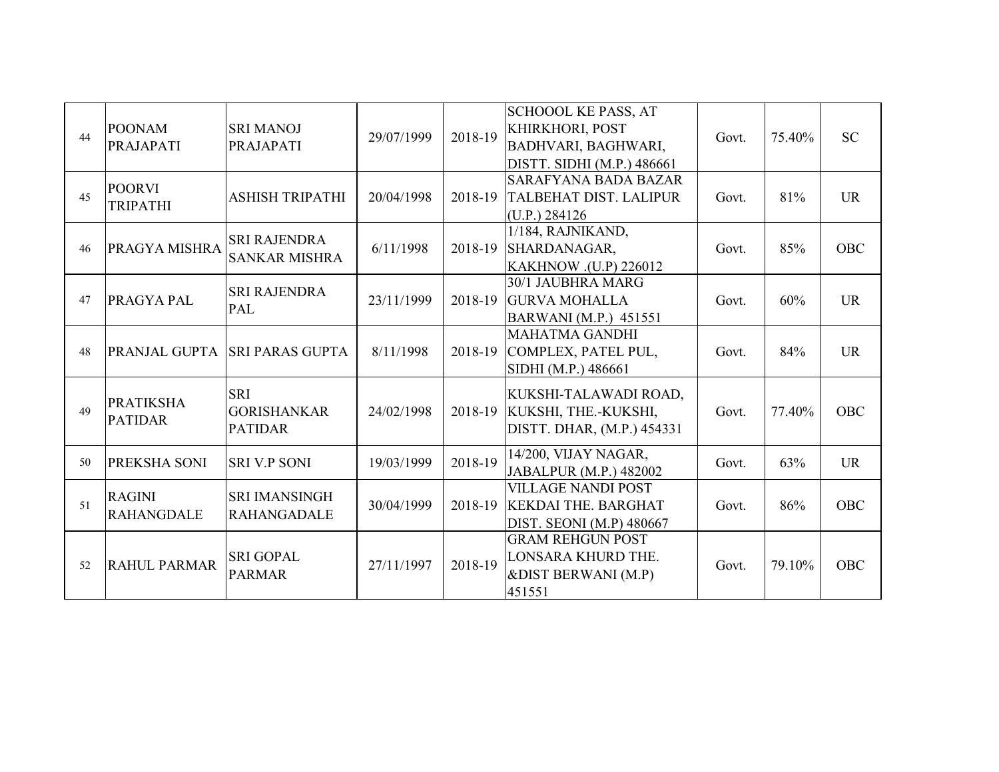| 44 | <b>POONAM</b><br><b>PRAJAPATI</b>  | <b>SRI MANOJ</b><br>PRAJAPATI                      | 29/07/1999 | 2018-19 | <b>SCHOOOL KE PASS, AT</b><br>KHIRKHORI, POST<br>BADHVARI, BAGHWARI,<br>DISTT. SIDHI (M.P.) 486661 | Govt. | 75.40% | <b>SC</b>  |
|----|------------------------------------|----------------------------------------------------|------------|---------|----------------------------------------------------------------------------------------------------|-------|--------|------------|
| 45 | <b>POORVI</b><br><b>TRIPATHI</b>   | <b>ASHISH TRIPATHI</b>                             | 20/04/1998 | 2018-19 | <b>SARAFYANA BADA BAZAR</b><br>TALBEHAT DIST. LALIPUR<br>(U.P.) 284126                             | Govt. | 81%    | <b>UR</b>  |
| 46 | PRAGYA MISHRA                      | <b>SRI RAJENDRA</b><br><b>SANKAR MISHRA</b>        | 6/11/1998  | 2018-19 | 1/184, RAJNIKAND,<br>SHARDANAGAR,<br>KAKHNOW .(U.P) 226012                                         | Govt. | 85%    | <b>OBC</b> |
| 47 | PRAGYA PAL                         | <b>SRI RAJENDRA</b><br>PAL                         | 23/11/1999 | 2018-19 | 30/1 JAUBHRA MARG<br><b>GURVA MOHALLA</b><br>BARWANI (M.P.) 451551                                 | Govt. | 60%    | <b>UR</b>  |
| 48 | PRANJAL GUPTA                      | <b>SRI PARAS GUPTA</b>                             | 8/11/1998  |         | <b>MAHATMA GANDHI</b><br>2018-19 COMPLEX, PATEL PUL,<br>SIDHI (M.P.) 486661                        | Govt. | 84%    | <b>UR</b>  |
| 49 | <b>PRATIKSHA</b><br><b>PATIDAR</b> | <b>SRI</b><br><b>GORISHANKAR</b><br><b>PATIDAR</b> | 24/02/1998 | 2018-19 | KUKSHI-TALAWADI ROAD,<br>KUKSHI, THE.-KUKSHI,<br>DISTT. DHAR, (M.P.) 454331                        | Govt. | 77.40% | <b>OBC</b> |
| 50 | PREKSHA SONI                       | <b>SRI V.P SONI</b>                                | 19/03/1999 | 2018-19 | 14/200, VIJAY NAGAR,<br>JABALPUR (M.P.) 482002                                                     | Govt. | 63%    | <b>UR</b>  |
| 51 | <b>RAGINI</b><br><b>RAHANGDALE</b> | <b>SRI IMANSINGH</b><br><b>RAHANGADALE</b>         | 30/04/1999 | 2018-19 | <b>VILLAGE NANDI POST</b><br><b>KEKDAI THE. BARGHAT</b><br>DIST. SEONI (M.P) 480667                | Govt. | 86%    | OBC        |
| 52 | <b>RAHUL PARMAR</b>                | <b>SRI GOPAL</b><br><b>PARMAR</b>                  | 27/11/1997 | 2018-19 | <b>GRAM REHGUN POST</b><br>LONSARA KHURD THE.<br>&DIST BERWANI (M.P)<br>451551                     | Govt. | 79.10% | <b>OBC</b> |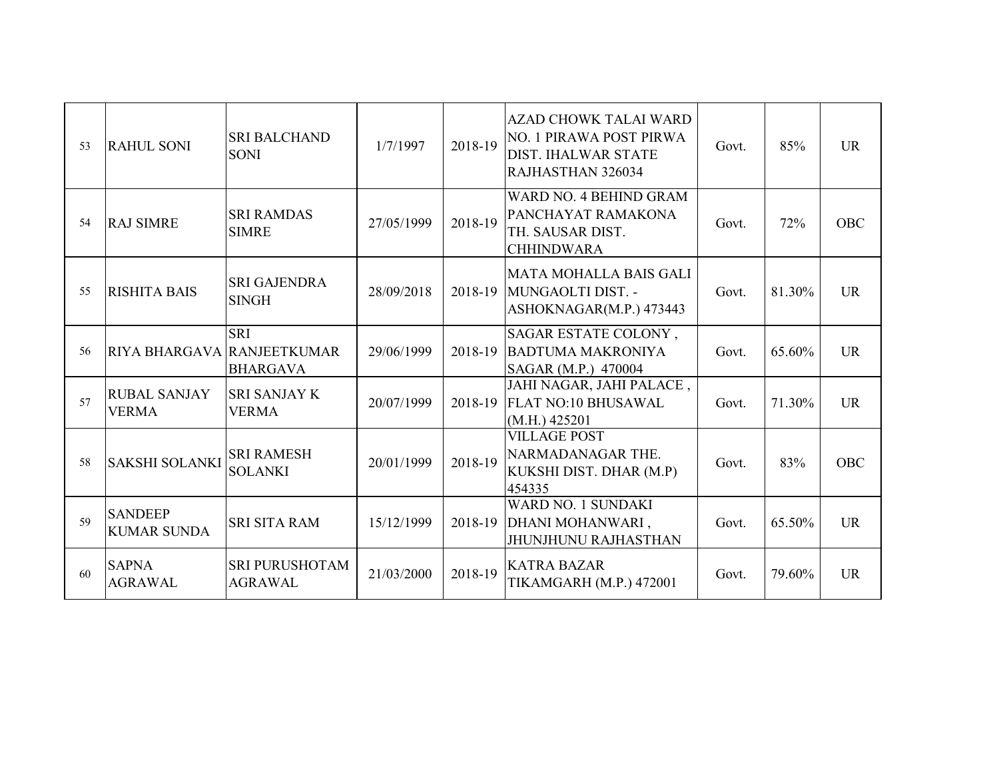| 53 | <b>RAHUL SONI</b>                    | <b>SRI BALCHAND</b><br><b>SONI</b>      | 1/7/1997   | 2018-19 | AZAD CHOWK TALAI WARD<br>NO. 1 PIRAWA POST PIRWA<br><b>DIST. IHALWAR STATE</b><br>RAJHASTHAN 326034 | Govt. | 85%    | <b>UR</b>  |
|----|--------------------------------------|-----------------------------------------|------------|---------|-----------------------------------------------------------------------------------------------------|-------|--------|------------|
| 54 | <b>RAJ SIMRE</b>                     | <b>SRI RAMDAS</b><br><b>SIMRE</b>       | 27/05/1999 | 2018-19 | WARD NO. 4 BEHIND GRAM<br>PANCHAYAT RAMAKONA<br>TH. SAUSAR DIST.<br><b>CHHINDWARA</b>               | Govt. | 72%    | <b>OBC</b> |
| 55 | <b>RISHITA BAIS</b>                  | <b>SRI GAJENDRA</b><br><b>SINGH</b>     | 28/09/2018 | 2018-19 | <b>MATA MOHALLA BAIS GALI</b><br>MUNGAOLTI DIST. -<br>ASHOKNAGAR(M.P.) 473443                       | Govt. | 81.30% | <b>UR</b>  |
| 56 | RIYA BHARGAVA RANJEETKUMAR           | <b>SRI</b><br><b>BHARGAVA</b>           | 29/06/1999 | 2018-19 | SAGAR ESTATE COLONY,<br><b>BADTUMA MAKRONIYA</b><br>SAGAR (M.P.) 470004                             | Govt. | 65.60% | <b>UR</b>  |
| 57 | <b>RUBAL SANJAY</b><br><b>VERMA</b>  | <b>SRI SANJAY K</b><br><b>VERMA</b>     | 20/07/1999 | 2018-19 | JAHI NAGAR, JAHI PALACE,<br>FLAT NO:10 BHUSAWAL<br>(M.H.) 425201                                    | Govt. | 71.30% | <b>UR</b>  |
| 58 | <b>SAKSHI SOLANKI</b>                | <b>SRI RAMESH</b><br><b>SOLANKI</b>     | 20/01/1999 | 2018-19 | <b>VILLAGE POST</b><br>NARMADANAGAR THE.<br>KUKSHI DIST. DHAR (M.P)<br>454335                       | Govt. | 83%    | <b>OBC</b> |
| 59 | <b>SANDEEP</b><br><b>KUMAR SUNDA</b> | <b>SRI SITA RAM</b>                     | 15/12/1999 | 2018-19 | <b>WARD NO. 1 SUNDAKI</b><br>DHANI MOHANWARI,<br><b>JHUNJHUNU RAJHASTHAN</b>                        | Govt. | 65.50% | <b>UR</b>  |
| 60 | <b>SAPNA</b><br><b>AGRAWAL</b>       | <b>SRI PURUSHOTAM</b><br><b>AGRAWAL</b> | 21/03/2000 | 2018-19 | <b>KATRA BAZAR</b><br>TIKAMGARH (M.P.) 472001                                                       | Govt. | 79.60% | <b>UR</b>  |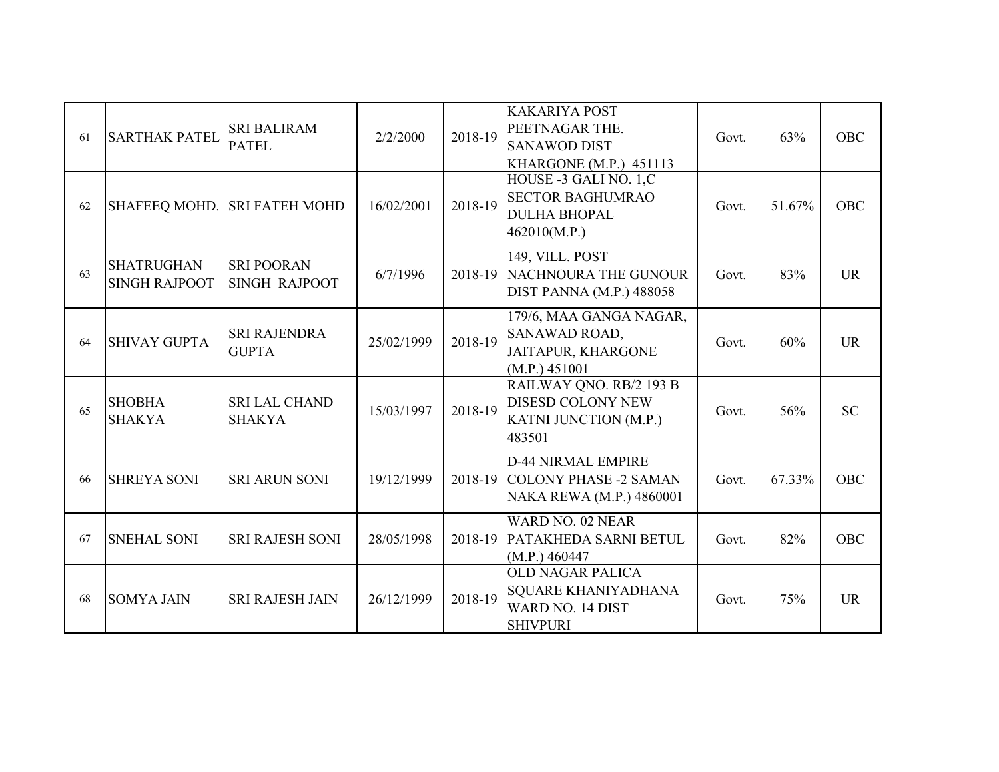| 61 | <b>SARTHAK PATEL</b>                      | <b>SRI BALIRAM</b><br><b>PATEL</b>    | 2/2/2000   | 2018-19 | <b>KAKARIYA POST</b><br>PEETNAGAR THE.<br><b>SANAWOD DIST</b><br>KHARGONE (M.P.) 451113      | Govt. | 63%    | <b>OBC</b> |
|----|-------------------------------------------|---------------------------------------|------------|---------|----------------------------------------------------------------------------------------------|-------|--------|------------|
| 62 | <b>SHAFEEQ MOHD.</b>                      | <b>SRI FATEH MOHD</b>                 | 16/02/2001 | 2018-19 | HOUSE -3 GALI NO. 1,C<br><b>SECTOR BAGHUMRAO</b><br><b>DULHA BHOPAL</b><br>462010(M.P.)      | Govt. | 51.67% | <b>OBC</b> |
| 63 | <b>SHATRUGHAN</b><br><b>SINGH RAJPOOT</b> | <b>SRI POORAN</b><br>SINGH RAJPOOT    | 6/7/1996   | 2018-19 | 149, VILL. POST<br><b>NACHNOURA THE GUNOUR</b><br><b>DIST PANNA (M.P.) 488058</b>            | Govt. | 83%    | <b>UR</b>  |
| 64 | <b>SHIVAY GUPTA</b>                       | <b>SRI RAJENDRA</b><br><b>GUPTA</b>   | 25/02/1999 | 2018-19 | 179/6, MAA GANGA NAGAR,<br>SANAWAD ROAD,<br><b>JAITAPUR, KHARGONE</b><br>(M.P.) 451001       | Govt. | 60%    | <b>UR</b>  |
| 65 | <b>SHOBHA</b><br><b>SHAKYA</b>            | <b>SRI LAL CHAND</b><br><b>SHAKYA</b> | 15/03/1997 | 2018-19 | RAILWAY QNO. RB/2 193 B<br>DISESD COLONY NEW<br>KATNI JUNCTION (M.P.)<br>483501              | Govt. | 56%    | <b>SC</b>  |
| 66 | <b>SHREYA SONI</b>                        | <b>SRI ARUN SONI</b>                  | 19/12/1999 | 2018-19 | <b>D-44 NIRMAL EMPIRE</b><br><b>COLONY PHASE -2 SAMAN</b><br>NAKA REWA (M.P.) 4860001        | Govt. | 67.33% | <b>OBC</b> |
| 67 | <b>SNEHAL SONI</b>                        | <b>SRI RAJESH SONI</b>                | 28/05/1998 | 2018-19 | WARD NO. 02 NEAR<br>PATAKHEDA SARNI BETUL<br>(M.P.) 460447                                   | Govt. | 82%    | <b>OBC</b> |
| 68 | <b>SOMYA JAIN</b>                         | <b>SRI RAJESH JAIN</b>                | 26/12/1999 | 2018-19 | <b>OLD NAGAR PALICA</b><br>SQUARE KHANIYADHANA<br><b>WARD NO. 14 DIST</b><br><b>SHIVPURI</b> | Govt. | 75%    | <b>UR</b>  |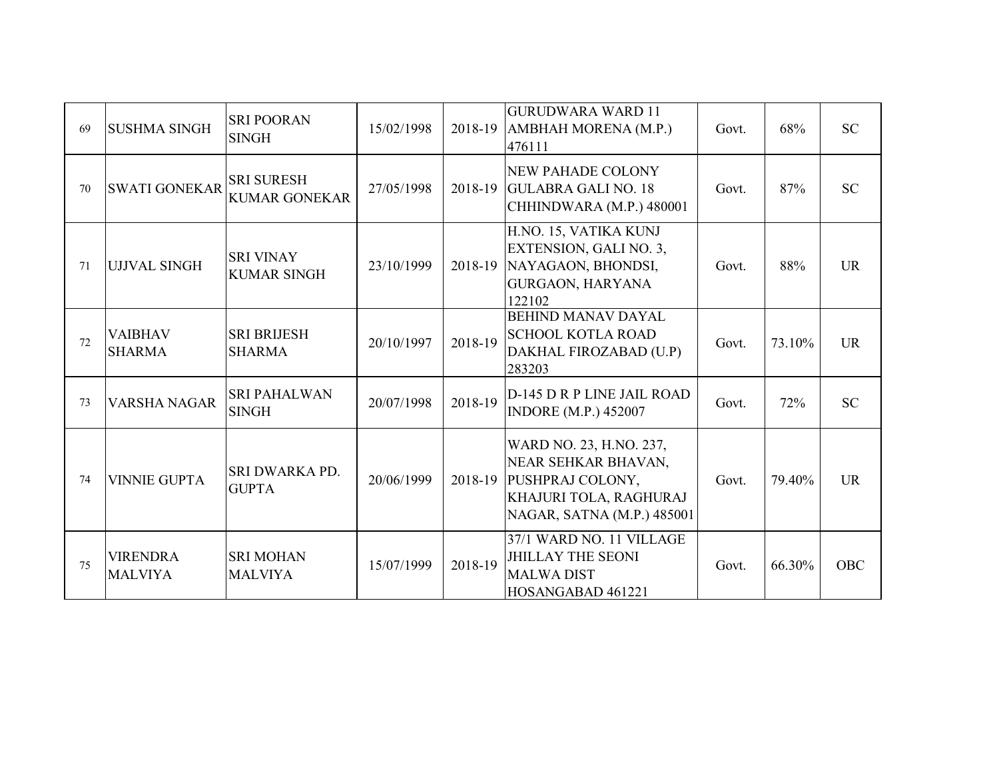| 69 | <b>SUSHMA SINGH</b>               | <b>SRI POORAN</b><br><b>SINGH</b>         | 15/02/1998 | 2018-19 | <b>GURUDWARA WARD 11</b><br>AMBHAH MORENA (M.P.)<br>476111                                                                 | Govt. | 68%    | <b>SC</b>  |
|----|-----------------------------------|-------------------------------------------|------------|---------|----------------------------------------------------------------------------------------------------------------------------|-------|--------|------------|
| 70 | <b>SWATI GONEKAR</b>              | <b>SRI SURESH</b><br><b>KUMAR GONEKAR</b> | 27/05/1998 |         | <b>NEW PAHADE COLONY</b><br>2018-19 GULABRA GALI NO. 18<br>CHHINDWARA (M.P.) 480001                                        | Govt. | 87%    | <b>SC</b>  |
| 71 | <b>UJJVAL SINGH</b>               | <b>SRI VINAY</b><br><b>KUMAR SINGH</b>    | 23/10/1999 | 2018-19 | H.NO. 15, VATIKA KUNJ<br>EXTENSION, GALI NO. 3,<br>NAYAGAON, BHONDSI,<br><b>GURGAON, HARYANA</b><br>122102                 | Govt. | 88%    | <b>UR</b>  |
| 72 | <b>VAIBHAV</b><br><b>SHARMA</b>   | <b>SRI BRIJESH</b><br><b>SHARMA</b>       | 20/10/1997 | 2018-19 | <b>BEHIND MANAV DAYAL</b><br><b>SCHOOL KOTLA ROAD</b><br>DAKHAL FIROZABAD (U.P)<br>283203                                  | Govt. | 73.10% | <b>UR</b>  |
| 73 | <b>VARSHA NAGAR</b>               | <b>SRI PAHALWAN</b><br><b>SINGH</b>       | 20/07/1998 | 2018-19 | D-145 D R P LINE JAIL ROAD<br><b>INDORE (M.P.) 452007</b>                                                                  | Govt. | 72%    | <b>SC</b>  |
| 74 | <b>VINNIE GUPTA</b>               | <b>SRI DWARKA PD.</b><br><b>GUPTA</b>     | 20/06/1999 | 2018-19 | WARD NO. 23, H.NO. 237,<br>NEAR SEHKAR BHAVAN,<br>PUSHPRAJ COLONY,<br>KHAJURI TOLA, RAGHURAJ<br>NAGAR, SATNA (M.P.) 485001 | Govt. | 79.40% | <b>UR</b>  |
| 75 | <b>VIRENDRA</b><br><b>MALVIYA</b> | <b>SRI MOHAN</b><br><b>MALVIYA</b>        | 15/07/1999 | 2018-19 | 37/1 WARD NO. 11 VILLAGE<br><b>JHILLAY THE SEONI</b><br><b>MALWA DIST</b><br>HOSANGABAD 461221                             | Govt. | 66.30% | <b>OBC</b> |